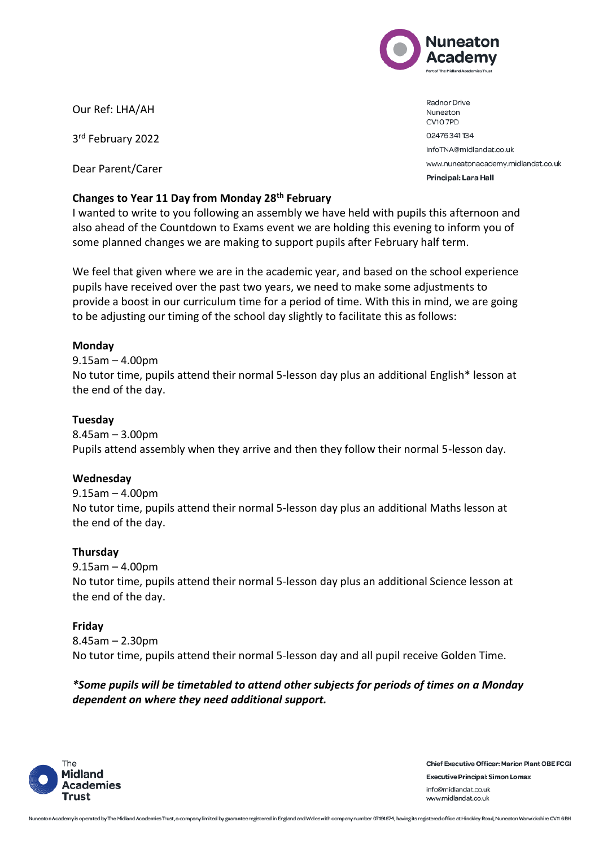

Our Ref: LHA/AH

3<sup>rd</sup> February 2022

Dear Parent/Carer

# **Changes to Year 11 Day from Monday 28th February**

I wanted to write to you following an assembly we have held with pupils this afternoon and also ahead of the Countdown to Exams event we are holding this evening to inform you of some planned changes we are making to support pupils after February half term.

We feel that given where we are in the academic year, and based on the school experience pupils have received over the past two years, we need to make some adjustments to provide a boost in our curriculum time for a period of time. With this in mind, we are going to be adjusting our timing of the school day slightly to facilitate this as follows:

## **Monday**

9.15am – 4.00pm No tutor time, pupils attend their normal 5-lesson day plus an additional English\* lesson at the end of the day.

### **Tuesday**

8.45am – 3.00pm Pupils attend assembly when they arrive and then they follow their normal 5-lesson day.

#### **Wednesday**

9.15am – 4.00pm No tutor time, pupils attend their normal 5-lesson day plus an additional Maths lesson at the end of the day.

#### **Thursday**

9.15am – 4.00pm No tutor time, pupils attend their normal 5-lesson day plus an additional Science lesson at the end of the day.

# **Friday**

8.45am – 2.30pm No tutor time, pupils attend their normal 5-lesson day and all pupil receive Golden Time.

# *\*Some pupils will be timetabled to attend other subjects for periods of times on a Monday dependent on where they need additional support.*



**Chief Executive Officer: Marion Plant OBE FCGI Executive Principal: Simon Lomax** info@midlandat.co.uk www.midlandat.co.uk

Radnor Drive Nuneaton CV10 7PD 02476341134 infoTNA@midlandat.co.uk www.nuneatonacademy.midlandat.co.uk Principal: Lara Hall